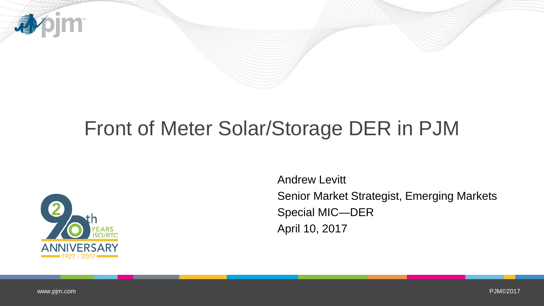

# Front of Meter Solar/Storage DER in PJM



Andrew Levitt Senior Market Strategist, Emerging Markets Special MIC—DER April 10, 2017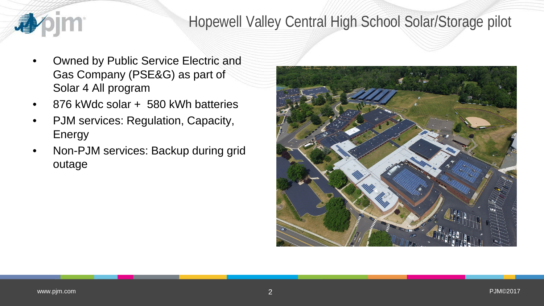

## Hopewell Valley Central High School Solar/Storage pilot

- Owned by Public Service Electric and Gas Company (PSE&G) as part of Solar 4 All program
- 876 kWdc solar + 580 kWh batteries
- PJM services: Regulation, Capacity, Energy
- Non-PJM services: Backup during grid outage

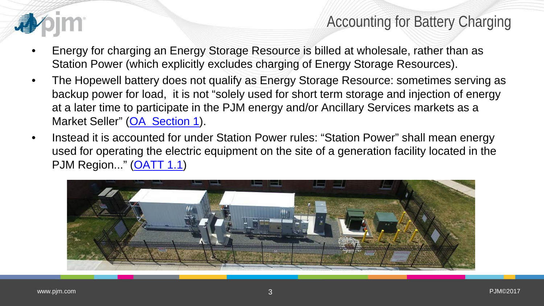

## Accounting for Battery Charging

- Energy for charging an Energy Storage Resource is billed at wholesale, rather than as Station Power (which explicitly excludes charging of Energy Storage Resources).
- The Hopewell battery does not qualify as Energy Storage Resource: sometimes serving as backup power for load, it is not "solely used for short term storage and injection of energy at a later time to participate in the PJM energy and/or Ancillary Services markets as a Market Seller" [\(OA Section 1\)](http://www.pjm.com/media/documents/etariff/MasterTariffs/23TariffSections/4533.pdf).
- Instead it is accounted for under Station Power rules: "Station Power" shall mean energy used for operating the electric equipment on the site of a generation facility located in the PJM Region..." [\(OATT 1.1\)](http://www.pjm.com/media/documents/etariff/MasterTariffs/23TariffSections/3906.pdf)